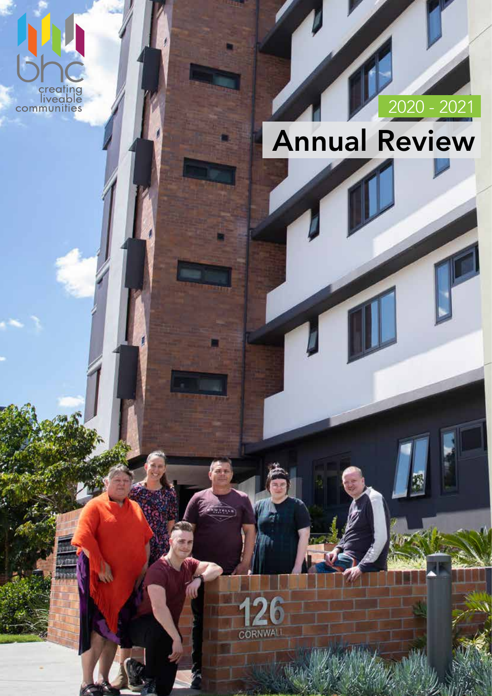

# 2020 - 2021

# Annual Review



<u>wielki</u>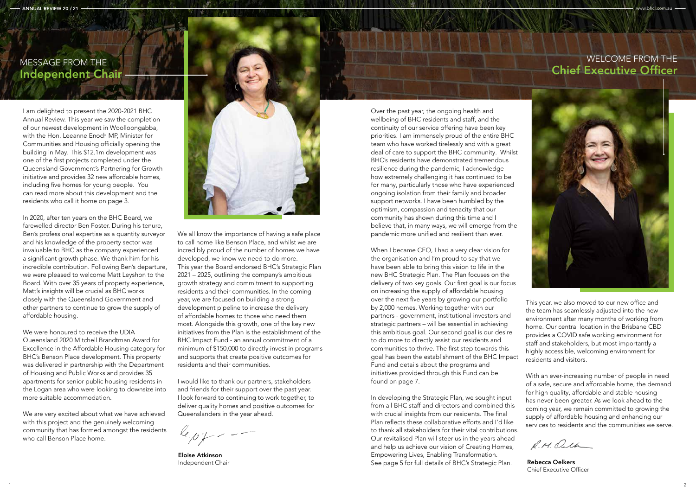Over the past year, the ongoing health and wellbeing of BHC residents and staff, and the continuity of our service offering have been key priorities. I am immensely proud of the entire BHC team who have worked tirelessly and with a great deal of care to support the BHC community. Whilst BHC's residents have demonstrated tremendous resilience during the pandemic, I acknowledge how extremely challenging it has continued to be for many, particularly those who have experienced ongoing isolation from their family and broader support networks. I have been humbled by the optimism, compassion and tenacity that our community has shown during this time and I believe that, in many ways, we will emerge from the pandemic more unified and resilient than ever.

In developing the Strategic Plan, we sought input from all BHC staff and directors and combined this with crucial insights from our residents. The final Plan reflects these collaborative efforts and I'd like to thank all stakeholders for their vital contributions. Our revitalised Plan will steer us in the years ahead and help us achieve our vision of Creating Homes, Empowering Lives, Enabling Transformation. Independent Chair **Rebecca Oelkers** See page 5 for full details of BHC's Strategic Plan. Rebecca Oelkers

When I became CEO, I had a very clear vision for the organisation and I'm proud to say that we have been able to bring this vision to life in the new BHC Strategic Plan. The Plan focuses on the delivery of two key goals. Our first goal is our focus on increasing the supply of affordable housing over the next five years by growing our portfolio by 2,000 homes. Working together with our partners - government, institutional investors and strategic partners – will be essential in achieving this ambitious goal. Our second goal is our desire to do more to directly assist our residents and communities to thrive. The first step towards this goal has been the establishment of the BHC Impact Fund and details about the programs and initiatives provided through this Fund can be found on page 7.

This year, we also moved to our new office and the team has seamlessly adjusted into the new environment after many months of working from home. Our central location in the Brisbane CBD provides a COVID safe working environment for staff and stakeholders, but most importantly a highly accessible, welcoming environment for residents and visitors.

With an ever-increasing number of people in need of a safe, secure and affordable home, the demand for high quality, affordable and stable housing has never been greater. As we look ahead to the coming year, we remain committed to growing the supply of affordable housing and enhancing our services to residents and the communities we serve.

R.M. Outh

We all know the importance of having a safe place to call home like Benson Place, and whilst we are incredibly proud of the number of homes we have developed, we know we need to do more. This year the Board endorsed BHC's Strategic Plan 2021 – 2025, outlining the company's ambitious growth strategy and commitment to supporting residents and their communities. In the coming year, we are focused on building a strong development pipeline to increase the delivery of affordable homes to those who need them most. Alongside this growth, one of the key new initiatives from the Plan is the establishment of the BHC Impact Fund - an annual commitment of a minimum of \$150,000 to directly invest in programs and supports that create positive outcomes for residents and their communities.

## MESSAGE FROM THE WELCOME FROM THE WELCOME FROM THE Chief Executive Officer



I am delighted to present the 2020-2021 BHC Annual Review. This year we saw the completion of our newest development in Woolloongabba, with the Hon. Leeanne Enoch MP, Minister for Communities and Housing officially opening the building in May. This \$12.1m development was one of the first projects completed under the Queensland Government's Partnering for Growth initiative and provides 32 new affordable homes, including five homes for young people. You can read more about this development and the residents who call it home on page 3.

In 2020, after ten years on the BHC Board, we farewelled director Ben Foster. During his tenure, Ben's professional expertise as a quantity surveyor and his knowledge of the property sector was invaluable to BHC as the company experienced a significant growth phase. We thank him for his incredible contribution. Following Ben's departure, we were pleased to welcome Matt Leyshon to the Board. With over 35 years of property experience, Matt's insights will be crucial as BHC works closely with the Queensland Government and other partners to continue to grow the supply of affordable housing.

We were honoured to receive the UDIA Queensland 2020 Mitchell Brandtman Award for Excellence in the Affordable Housing category for BHC's Benson Place development. This property was delivered in partnership with the Department of Housing and Public Works and provides 35 apartments for senior public housing residents in the Logan area who were looking to downsize into more suitable accommodation.

We are very excited about what we have achieved with this project and the genuinely welcoming community that has formed amongst the residents who call Benson Place home.



**IN DIE** 

I would like to thank our partners, stakeholders and friends for their support over the past year. I look forward to continuing to work together, to deliver quality homes and positive outcomes for Queenslanders in the year ahead.

Eloise Atkinson

Chief Executive Officer

# Independent Chair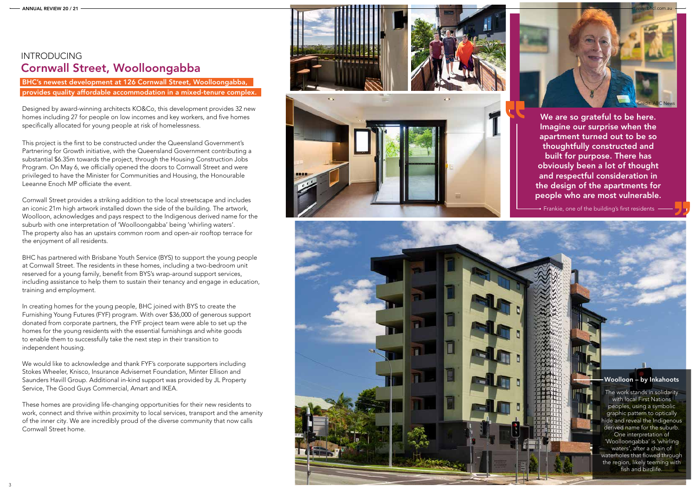



### Woolloon – by Inkahoots

The work stands in solidarity with local First Nations peoples, using a symbolic graphic pattern to optically hide and reveal the Indigenous derived name for the suburb. One interpretation of 'Woolloongabba' is 'whirling waters', after a chain of waterholes that flowed through the region, likely teeming with fish and birdlife.

## Cornwall Street, Woolloongabba INTRODUCING

We are so grateful to be here. Imagine our surprise when the apartment turned out to be so thoughtfully constructed and built for purpose. There has obviously been a lot of thought and respectful consideration in the design of the apartments for people who are most vulnerable.

• Frankie, one of the building's first residents  $-$ 

BHC's newest development at 126 Cornwall Street, Woolloongabba, provides quality affordable accommodation in a mixed-tenure complex.

Designed by award-winning architects KO&Co, this development provides 32 new homes including 27 for people on low incomes and key workers, and five homes specifically allocated for young people at risk of homelessness.

This project is the first to be constructed under the Queensland Government's Partnering for Growth initiative, with the Queensland Government contributing a substantial \$6.35m towards the project, through the Housing Construction Jobs Program. On May 6, we officially opened the doors to Cornwall Street and were privileged to have the Minister for Communities and Housing, the Honourable Leeanne Enoch MP officiate the event.

Cornwall Street provides a striking addition to the local streetscape and includes an iconic 21m high artwork installed down the side of the building. The artwork, Woolloon, acknowledges and pays respect to the Indigenous derived name for the suburb with one interpretation of 'Woolloongabba' being 'whirling waters'. The property also has an upstairs common room and open-air rooftop terrace for the enjoyment of all residents.

BHC has partnered with Brisbane Youth Service (BYS) to support the young people at Cornwall Street. The residents in these homes, including a two-bedroom unit reserved for a young family, benefit from BYS's wrap-around support services, including assistance to help them to sustain their tenancy and engage in education, training and employment.

In creating homes for the young people, BHC joined with BYS to create the Furnishing Young Futures (FYF) program. With over \$36,000 of generous support donated from corporate partners, the FYF project team were able to set up the homes for the young residents with the essential furnishings and white goods to enable them to successfully take the next step in their transition to independent housing.

We would like to acknowledge and thank FYF's corporate supporters including Stokes Wheeler, Knisco, Insurance Advisernet Foundation, Minter Ellison and Saunders Havill Group. Additional in-kind support was provided by JL Property Service, The Good Guys Commercial, Amart and IKEA.

These homes are providing life-changing opportunities for their new residents to work, connect and thrive within proximity to local services, transport and the amenity of the inner city. We are incredibly proud of the diverse community that now calls Cornwall Street home.

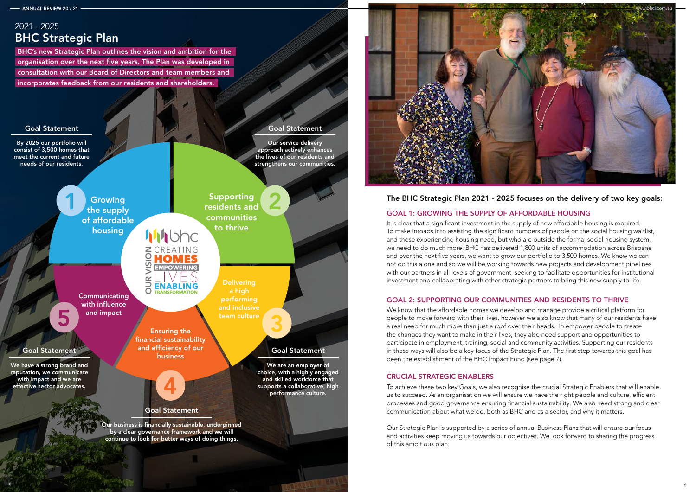5

## GOAL 1: GROWING THE SUPPLY OF AFFORDABLE HOUSING

It is clear that a significant investment in the supply of new affordable housing is required. To make inroads into assisting the significant numbers of people on the social housing waitlist, and those experiencing housing need, but who are outside the formal social housing system, we need to do much more. BHC has delivered 1,800 units of accommodation across Brisbane and over the next five years, we want to grow our portfolio to 3,500 homes. We know we can not do this alone and so we will be working towards new projects and development pipelines with our partners in all levels of government, seeking to facilitate opportunities for institutional investment and collaborating with other strategic partners to bring this new supply to life.

## GOAL 2: SUPPORTING OUR COMMUNITIES AND RESIDENTS TO THRIVE

We know that the affordable homes we develop and manage provide a critical platform for people to move forward with their lives, however we also know that many of our residents have a real need for much more than just a roof over their heads. To empower people to create the changes they want to make in their lives, they also need support and opportunities to participate in employment, training, social and community activities. Supporting our residents in these ways will also be a key focus of the Strategic Plan. The first step towards this goal has been the establishment of the BHC Impact Fund (see page 7).

## CRUCIAL STRATEGIC ENABLERS

To achieve these two key Goals, we also recognise the crucial Strategic Enablers that will enable us to succeed. As an organisation we will ensure we have the right people and culture, efficient processes and good governance ensuring financial sustainability. We also need strong and clear communication about what we do, both as BHC and as a sector, and why it matters.

Our Strategic Plan is supported by a series of annual Business Plans that will ensure our focus and activities keep moving us towards our objectives. We look forward to sharing the progress of this ambitious plan.



5

## BHC Strategic Plan 2021 - 2025

BHC's new Strategic Plan outlines the vision and ambition for the organisation over the next five years. The Plan was developed in consultation with our Board of Directors and team members and incorporates feedback from our residents and shareholders.



## The BHC Strategic Plan 2021 - 2025 focuses on the delivery of two key goals: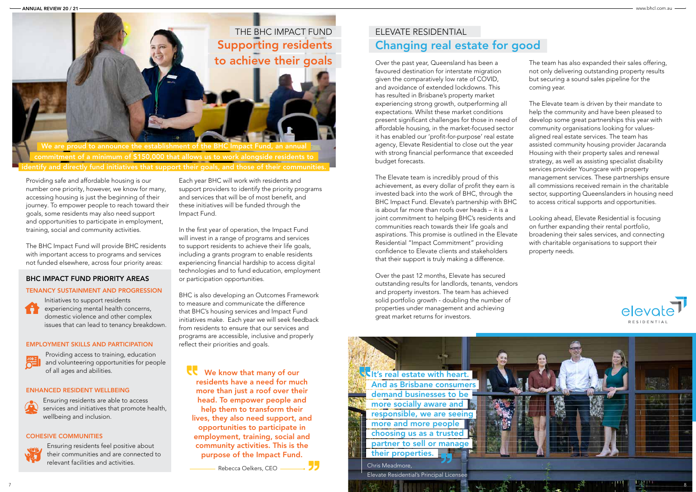Chris Meadmore, Elevate Residential's Principal Licensee



# Changing real estate for good

Over the past year, Queensland has been a favoured destination for interstate migration given the comparatively low rate of COVID, and avoidance of extended lockdowns. This has resulted in Brisbane's property market experiencing strong growth, outperforming all expectations. Whilst these market conditions present significant challenges for those in need of affordable housing, in the market-focused sector it has enabled our 'profit-for-purpose' real estate agency, Elevate Residential to close out the year with strong financial performance that exceeded budget forecasts.

The Elevate team is incredibly proud of this achievement, as every dollar of profit they earn is invested back into the work of BHC, through the BHC Impact Fund. Elevate's partnership with BHC is about far more than roofs over heads – it is a joint commitment to helping BHC's residents and communities reach towards their life goals and aspirations. This promise is outlined in the Elevate Residential "Impact Commitment" providing confidence to Elevate clients and stakeholders that their support is truly making a difference.

Over the past 12 months, Elevate has secured outstanding results for landlords, tenants, vendors and property investors. The team has achieved solid portfolio growth - doubling the number of properties under management and achieving great market returns for investors.

**It's real estate with heart.** And as Brisbane consumers demand businesses to be more socially aware and responsible, we are seeing more and more people choosing us as a trusted partner to sell or manage their properties.



The team has also expanded their sales offering, not only delivering outstanding property results but securing a sound sales pipeline for the coming year.

The Elevate team is driven by their mandate to help the community and have been pleased to develop some great partnerships this year with community organisations looking for valuesaligned real estate services. The team has assisted community housing provider Jacaranda Housing with their property sales and renewal strategy, as well as assisting specialist disability services provider Youngcare with property management services. These partnerships ensure all commissions received remain in the charitable sector, supporting Queenslanders in housing need to access critical supports and opportunities.

Looking ahead, Elevate Residential is focusing on further expanding their rental portfolio, broadening their sales services, and connecting with charitable organisations to support their property needs.



We know that many of our residents have a need for much more than just a roof over their head. To empower people and help them to transform their lives, they also need support, and opportunities to participate in employment, training, social and community activities. This is the purpose of the Impact Fund.

Providing safe and affordable housing is our number one priority, however, we know for many, accessing housing is just the beginning of their journey. To empower people to reach toward their goals, some residents may also need support and opportunities to participate in employment, training, social and community activities.

The BHC Impact Fund will provide BHC residents with important access to programs and services not funded elsewhere, across four priority areas:

## BHC IMPACT FUND PRIORITY AREAS

## TENANCY SUSTAINMENT AND PROGRESSION

Initiatives to support residents experiencing mental health concerns, domestic violence and other complex issues that can lead to tenancy breakdown.

### EMPLOYMENT SKILLS AND PARTICIPATION



m

Providing access to training, education and volunteering opportunities for people of all ages and abilities.

## ENHANCED RESIDENT WELLBEING



Ensuring residents are able to access services and initiatives that promote health, wellbeing and inclusion.

## COHESIVE COMMUNITIES



Ensuring residents feel positive about their communities and are connected to relevant facilities and activities.

Each year BHC will work with residents and support providers to identify the priority programs and services that will be of most benefit, and these initiatives will be funded through the Impact Fund.

In the first year of operation, the Impact Fund will invest in a range of programs and services to support residents to achieve their life goals, including a grants program to enable residents experiencing financial hardship to access digital technologies and to fund education, employment or participation opportunities.

BHC is also developing an Outcomes Framework to measure and communicate the difference that BHC's housing services and Impact Fund initiatives make. Each year we will seek feedback from residents to ensure that our services and programs are accessible, inclusive and properly reflect their priorities and goals.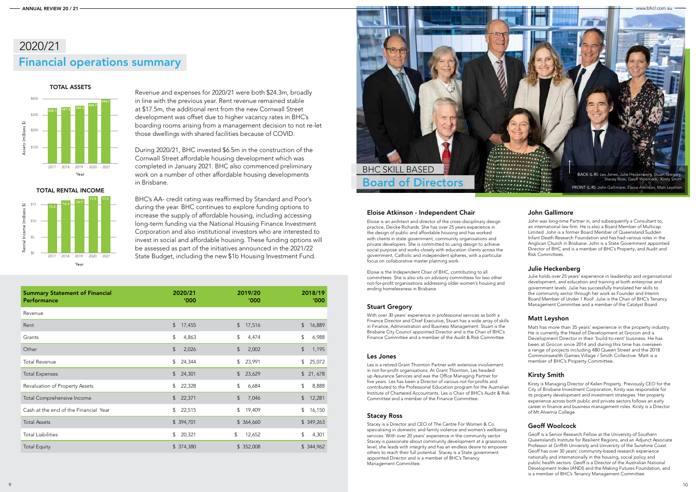

Matt has more than 35 years' experience in the property industry. He is currently the Head of Development at Grocon and a Development Director in their 'build-to-rent' business. He has been at Grocon since 2014 and during this time has overseen a range of projects including 480 Queen Street and the 2018 Commonwealth Games Village / Smith Collective. Matt is a member of BHC's Property Committee.

## Matt Leyshon

Kirsty is Managing Director of Kelen Property. Previously CEO for the City of Brisbane Investment Corporation, Kirsty was responsible for its property development and investment strategies. Her property experience across both public and private sectors follows an early career in finance and business management roles. Kirsty is a Director of Mt Alvernia College.

## Kirsty Smith

TOTAL ASSETS

## John Gallimore

John was long-time Partner in, and subsequently a Consultant to, an international law firm. He is also a Board Member of Multicap Limited. John is a former Board Member of Queensland Sudden Infant Death Research Foundation and has had various roles in the Anglican Church in Brisbane. John is a State Government appointed Director of BHC and is a member of BHC's Property, and Audit and Risk Committees.

## Eloise Atkinson - Independent Chair

Eloise is an architect and director of the cross-disciplinary design practice, Deicke Richards. She has over 25 years experience in the design of public and affordable housing and has worked with clients in state government, community organisations and private developers. She is committed to using design to achieve social purpose and works closely with education clients across the government, Catholic and independent spheres, with a particular focus on collaborative master planning work.

Eloise is the Independent Chair of BHC, contributing to all committees. She is also sits on advisory committees for two other not-for-profit organisations addressing older women's housing and ending homelessness in Brisbane.



Julie holds over 25 years' experience in leadership and organisational development, and education and training at both enterprise and government levels. Julie has successfully translated her skills to the community sector through her work as Founder and Interim Board Member of Under 1 Roof. Julie is the Chair of BHC's Tenancy Management Committee and a member of the Catalyst Board.

## Julie Heckenberg

With over 30 years' experience in professional services as both a Finance Director and Chief Executive, Stuart has a wide array of skills in Finance, Administration and Business Management. Stuart is the Brisbane City Council appointed Director and is the Chair of BHC's Finance Committee and a member of the Audit & Risk Committee.

## Stuart Gregory

Les is a retired Grant Thornton Partner with extensive involvement in not-for-profit organisations. At Grant Thornton, Les headed up Assurance Services and was the Office Managing Partner for five years. Les has been a Director of various not-for-profits and contributed to the Professional Education program for the Australian Institute of Chartered Accountants. Les is Chair of BHC's Audit & Risk Committee and a member of the Finance Committee.

## Les Jones

Revenue and expenses for 2020/21 were both \$24.3m, broadly in line with the previous year. Rent revenue remained stable at \$17.5m, the additional rent from the new Cornwall Street development was offset due to higher vacancy rates in BHC's boarding rooms arising from a management decision to not re-let those dwellings with shared facilities because of COVID.

During 2020/21, BHC invested \$6.5m in the construction of the Cornwall Street affordable housing development which was completed in January 2021. BHC also commenced preliminary work on a number of other affordable housing developments in Brisbane.

BHC's AA- credit rating was reaffirmed by Standard and Poor's during the year. BHC continues to explore funding options to increase the supply of affordable housing, including accessing long-term funding via the National Housing Finance Investment Corporation and also institutional investors who are interested to invest in social and affordable housing. These funding options will be assessed as part of the initiatives announced in the 2021/22 State Budget, including the new \$1b Housing Investment Fund.

## Financial operations summary 2020/21



| <b>Summary Statement of Financial</b> | 2020/21                  | 2019/20                                              | 2018/19          |
|---------------------------------------|--------------------------|------------------------------------------------------|------------------|
| <b>Performance</b>                    | '000                     | '000                                                 | '000             |
| Revenue                               |                          |                                                      |                  |
| Rent                                  | $\frac{1}{2}$            | $\frac{1}{2}$                                        | $$\mathfrak{s}$$ |
|                                       | 17,455                   | 17,516                                               | 16,889           |
| Grants                                | \$                       | $\, \, \raisebox{-1.5pt}{\ensuremath{\mathbb{S}}}\,$ | \$               |
|                                       | 4,863                    | 4,474                                                | 6,988            |
| Other                                 | \$                       | \$                                                   | $\sqrt{2}$       |
|                                       | 2,026                    | 2,002                                                | 1,195            |
| <b>Total Revenue</b>                  | \$                       | \$                                                   | \$               |
|                                       | 24,344                   | 23,991                                               | 25,072           |
| <b>Total Expenses</b>                 | $\mathfrak{S}$<br>24,301 | $\frac{1}{2}$<br>23,629                              | \$21,678         |
| Revaluation of Property Assets        | \$                       | \$                                                   | \$               |
|                                       | 22,328                   | 6,684                                                | 8,888            |
| <b>Total Comprehensive Income</b>     | $\frac{1}{2}$            | \$                                                   | $\frac{1}{2}$    |
|                                       | 22,371                   | 7,046                                                | 12,281           |
| Cash at the end of the Financial Year | 22,515                   | \$                                                   | \$               |
|                                       | \$                       | 19,409                                               | 16,150           |
| <b>Total Assets</b>                   | \$394,701                | \$ 364,660                                           | \$349,263        |
| <b>Total Liabilities</b>              | \$                       | \$                                                   | \$               |
|                                       | 20,321                   | 12,652                                               | 4,301            |
| <b>Total Equity</b>                   | \$374,380                | \$352,008                                            | \$344,962        |

Stacey is a Director and CEO of The Centre For Women & Co. specialising in domestic and family violence and women's wellbeing services. With over 20 years' experience in the community sector Stacey is passionate about community development at a grassroots level, she leads with integrity and has an endless desire to empower others to reach their full potential. Stacey is a State government appointed Director and is a member of BHC's Tenancy Management Committee.

## Stacey Ross

Geoff is a Senior Research Fellow at the University of Southern Queensland's Institute for Resilient Regions, and an Adjunct Associate Professor at Griffith University and University of the Sunshine Coast. Geoff has over 30 years' community-based research experience nationally and internationally in the housing, social policy and public health sectors. Geoff is a Director of the Australian National Development Index (ANDI) and the Making Futures Foundation, and is a member of BHC's Tenancy Management Committee.

## Geoff Woolcock